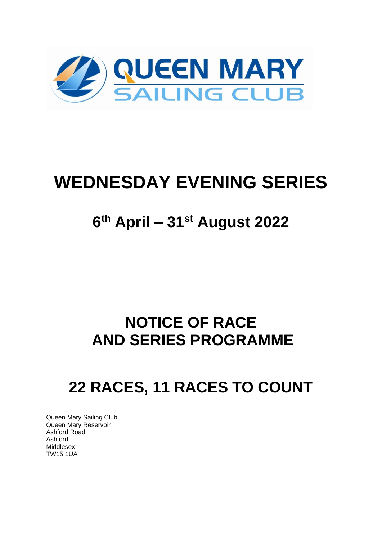

# **WEDNESDAY EVENING SERIES**

## **6 th April – 31st August 2022**

## **NOTICE OF RACE AND SERIES PROGRAMME**

## **22 RACES, 11 RACES TO COUNT**

Queen Mary Sailing Club Queen Mary Reservoir Ashford Road Ashford Middlesex TW15 1UA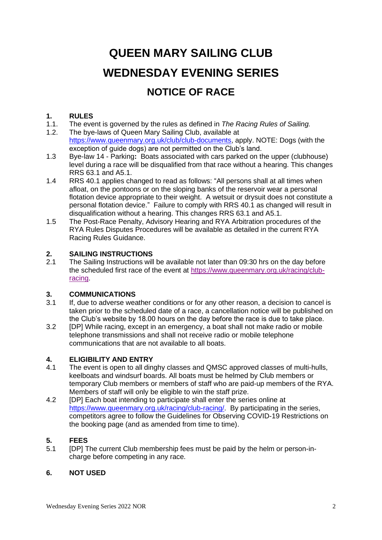## **QUEEN MARY SAILING CLUB WEDNESDAY EVENING SERIES NOTICE OF RACE**

## **1. RULES**

- 1.1. The event is governed by the rules as defined in *The Racing Rules of Sailing.*
- 1.2. The bye-laws of Queen Mary Sailing Club, available at [https://www.queenmary.org.uk/club/club-documents,](https://www.queenmary.org.uk/club/club-documents) apply. NOTE: Dogs (with the exception of guide dogs) are not permitted on the Club's land.
- 1.3 Bye-law 14 Parking**:** Boats associated with cars parked on the upper (clubhouse) level during a race will be disqualified from that race without a hearing. This changes RRS 63.1 and A5.1.
- 1.4 RRS 40.1 applies changed to read as follows: "All persons shall at all times when afloat, on the pontoons or on the sloping banks of the reservoir wear a personal flotation device appropriate to their weight. A wetsuit or drysuit does not constitute a personal flotation device." Failure to comply with RRS 40.1 as changed will result in disqualification without a hearing. This changes RRS 63.1 and A5.1.
- 1.5 The Post-Race Penalty, Advisory Hearing and RYA Arbitration procedures of the RYA Rules Disputes Procedures will be available as detailed in the current RYA Racing Rules Guidance.

#### **2. SAILING INSTRUCTIONS**

2.1 The Sailing Instructions will be available not later than 09:30 hrs on the day before the scheduled first race of the event at [https://www.queenmary.org.uk/racing/club](https://www.queenmary.org.uk/racing/club-racing)[racing.](https://www.queenmary.org.uk/racing/club-racing)

### **3. COMMUNICATIONS**

- If, due to adverse weather conditions or for any other reason, a decision to cancel is taken prior to the scheduled date of a race, a cancellation notice will be published on the Club's website by 18.00 hours on the day before the race is due to take place.
- 3.2 [DP] While racing, except in an emergency, a boat shall not make radio or mobile telephone transmissions and shall not receive radio or mobile telephone communications that are not available to all boats.

## **4. ELIGIBILITY AND ENTRY**

- The event is open to all dinghy classes and QMSC approved classes of multi-hulls, keelboats and windsurf boards. All boats must be helmed by Club members or temporary Club members or members of staff who are paid-up members of the RYA. Members of staff will only be eligible to win the staff prize.
- 4.2 [DP] Each boat intending to participate shall enter the series online at [https://www.queenmary.org.uk/racing/club-racing/.](https://www.queenmary.org.uk/racing/club-racing/) By participating in the series, competitors agree to follow the Guidelines for Observing COVID-19 Restrictions on the booking page (and as amended from time to time).

#### **5. FEES**

5.1 [DP] The current Club membership fees must be paid by the helm or person-incharge before competing in any race.

#### **6. NOT USED**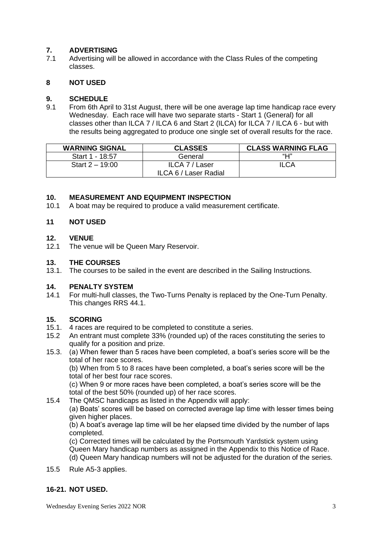#### **7. ADVERTISING**

7.1 Advertising will be allowed in accordance with the Class Rules of the competing classes.

#### **8 NOT USED**

#### **9. SCHEDULE**

9.1 From 6th April to 31st August, there will be one average lap time handicap race every Wednesday. Each race will have two separate starts - Start 1 (General) for all classes other than ILCA 7 / ILCA 6 and Start 2 (ILCA) for ILCA 7 / ILCA 6 - but with the results being aggregated to produce one single set of overall results for the race.

| <b>WARNING SIGNAL</b> | <b>CLASSES</b>                          | <b>CLASS WARNING FLAG</b> |
|-----------------------|-----------------------------------------|---------------------------|
| Start 1 - 18:57       | General                                 | "Н"                       |
| Start $2 - 19:00$     | ILCA 7 / Laser<br>ILCA 6 / Laser Radial | ILCA                      |

#### **10. MEASUREMENT AND EQUIPMENT INSPECTION**

10.1 A boat may be required to produce a valid measurement certificate.

#### **11 NOT USED**

#### **12. VENUE**

12.1 The venue will be Queen Mary Reservoir.

#### **13. THE COURSES**

13.1. The courses to be sailed in the event are described in the Sailing Instructions.

#### **14. PENALTY SYSTEM**

14.1 For multi-hull classes, the Two-Turns Penalty is replaced by the One-Turn Penalty. This changes RRS 44.1.

## **15. SCORING**

- 4 races are required to be completed to constitute a series.
- 15.2 An entrant must complete 33% (rounded up) of the races constituting the series to qualify for a position and prize.
- 15.3. (a) When fewer than 5 races have been completed, a boat's series score will be the total of her race scores.

(b) When from 5 to 8 races have been completed, a boat's series score will be the total of her best four race scores.

(c) When 9 or more races have been completed, a boat's series score will be the total of the best 50% (rounded up) of her race scores.

15.4 The QMSC handicaps as listed in the Appendix will apply: (a) Boats' scores will be based on corrected average lap time with lesser times being given higher places.

(b) A boat's average lap time will be her elapsed time divided by the number of laps completed.

(c) Corrected times will be calculated by the Portsmouth Yardstick system using Queen Mary handicap numbers as assigned in the Appendix to this Notice of Race. (d) Queen Mary handicap numbers will not be adjusted for the duration of the series.

15.5 Rule A5-3 applies.

#### **16-21. NOT USED.**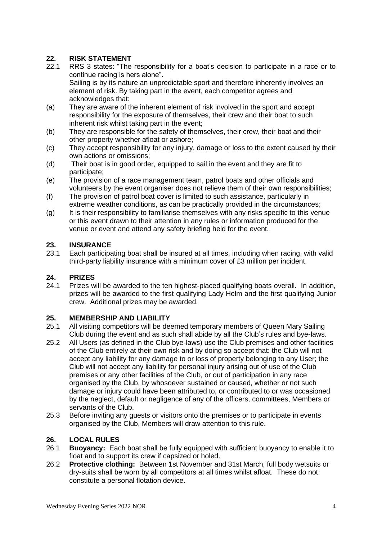#### **22. RISK STATEMENT**

- 22.1 RRS 3 states: "The responsibility for a boat's decision to participate in a race or to continue racing is hers alone". Sailing is by its nature an unpredictable sport and therefore inherently involves an element of risk. By taking part in the event, each competitor agrees and acknowledges that:
- (a) They are aware of the inherent element of risk involved in the sport and accept responsibility for the exposure of themselves, their crew and their boat to such inherent risk whilst taking part in the event;
- (b) They are responsible for the safety of themselves, their crew, their boat and their other property whether afloat or ashore;
- (c) They accept responsibility for any injury, damage or loss to the extent caused by their own actions or omissions;
- (d) Their boat is in good order, equipped to sail in the event and they are fit to participate;
- (e) The provision of a race management team, patrol boats and other officials and volunteers by the event organiser does not relieve them of their own responsibilities;
- (f) The provision of patrol boat cover is limited to such assistance, particularly in extreme weather conditions, as can be practically provided in the circumstances;
- (g) It is their responsibility to familiarise themselves with any risks specific to this venue or this event drawn to their attention in any rules or information produced for the venue or event and attend any safety briefing held for the event.

#### **23. INSURANCE**

23.1 Each participating boat shall be insured at all times, including when racing, with valid third-party liability insurance with a minimum cover of £3 million per incident.

## **24. PRIZES**

Prizes will be awarded to the ten highest-placed qualifying boats overall. In addition, prizes will be awarded to the first qualifying Lady Helm and the first qualifying Junior crew. Additional prizes may be awarded.

#### **25. MEMBERSHIP AND LIABILITY**

- 25.1 All visiting competitors will be deemed temporary members of Queen Mary Sailing Club during the event and as such shall abide by all the Club's rules and bye-laws.
- 25.2 All Users (as defined in the Club bye-laws) use the Club premises and other facilities of the Club entirely at their own risk and by doing so accept that: the Club will not accept any liability for any damage to or loss of property belonging to any User; the Club will not accept any liability for personal injury arising out of use of the Club premises or any other facilities of the Club, or out of participation in any race organised by the Club, by whosoever sustained or caused, whether or not such damage or injury could have been attributed to, or contributed to or was occasioned by the neglect, default or negligence of any of the officers, committees, Members or servants of the Club.
- 25.3 Before inviting any guests or visitors onto the premises or to participate in events organised by the Club, Members will draw attention to this rule.

#### **26. LOCAL RULES**

- 26.1 **Buoyancy:** Each boat shall be fully equipped with sufficient buoyancy to enable it to float and to support its crew if capsized or holed.
- 26.2 **Protective clothing:** Between 1st November and 31st March, full body wetsuits or dry-suits shall be worn by all competitors at all times whilst afloat. These do not constitute a personal flotation device.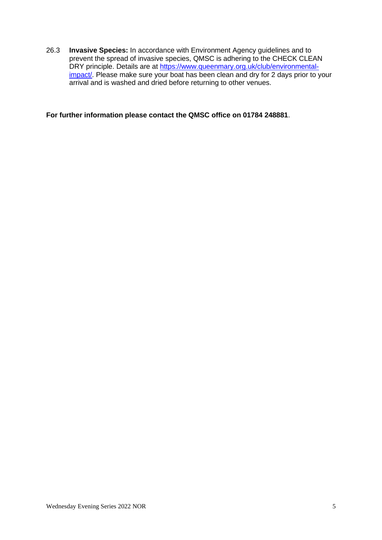26.3 **Invasive Species:** In accordance with Environment Agency guidelines and to prevent the spread of invasive species, QMSC is adhering to the CHECK CLEAN DRY principle. Details are at [https://www.queenmary.org.uk/club/environmental](https://www.queenmary.org.uk/club/environmental-impact/)[impact/.](https://www.queenmary.org.uk/club/environmental-impact/) Please make sure your boat has been clean and dry for 2 days prior to your arrival and is washed and dried before returning to other venues.

**For further information please contact the QMSC office on 01784 248881**.